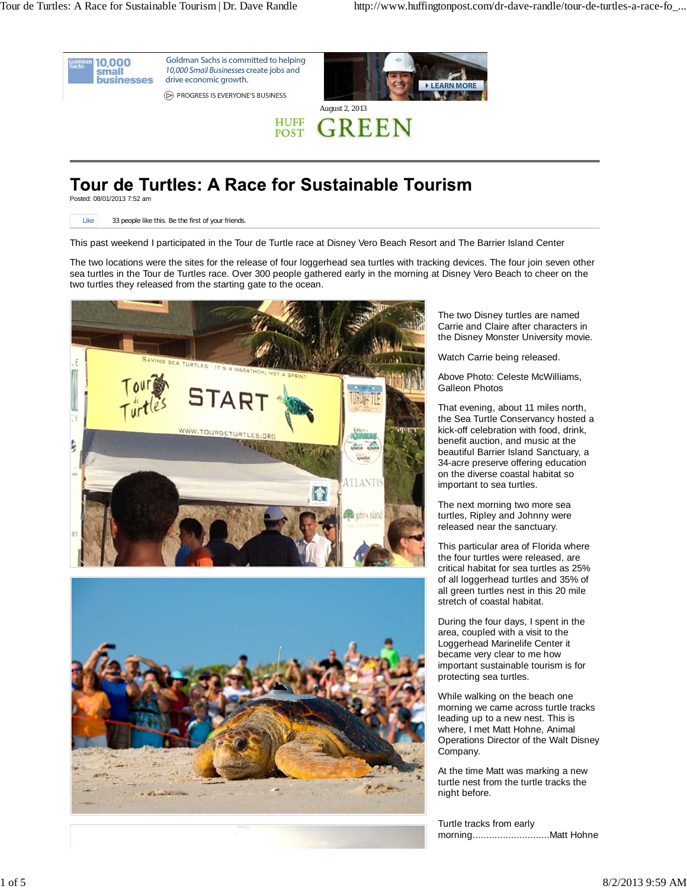

# **Tour de Turtles: A Race for Sustainable Tourism**

Posted: 08/01/2013 7:52 am

Like 33 people like this. Be the first of your friends.

This past weekend I participated in the Tour de Turtle race at Disney Vero Beach Resort and The Barrier Island Center

The two locations were the sites for the release of four loggerhead sea turtles with tracking devices. The four join seven other sea turtles in the Tour de Turtles race. Over 300 people gathered early in the morning at Disney Vero Beach to cheer on the two turtles they released from the starting gate to the ocean.





The two Disney turtles are named Carrie and Claire after characters in the Disney Monster University movie.

Watch Carrie being released.

Above Photo: Celeste McWilliams, Galleon Photos

That evening, about 11 miles north, the Sea Turtle Conservancy hosted a kick-off celebration with food, drink, benefit auction, and music at the beautiful Barrier Island Sanctuary, a 34-acre preserve offering education on the diverse coastal habitat so important to sea turtles.

The next morning two more sea turtles, Ripley and Johnny were released near the sanctuary.

This particular area of Florida where the four turtles were released, are critical habitat for sea turtles as 25% of all loggerhead turtles and 35% of all green turtles nest in this 20 mile stretch of coastal habitat.

During the four days, I spent in the area, coupled with a visit to the Loggerhead Marinelife Center it became very clear to me how important sustainable tourism is for protecting sea turtles.

While walking on the beach one morning we came across turtle tracks leading up to a new nest. This is where, I met Matt Hohne, Animal Operations Director of the Walt Disney Company.

At the time Matt was marking a new turtle nest from the turtle tracks the night before.

Turtle tracks from early morning............................Matt Hohne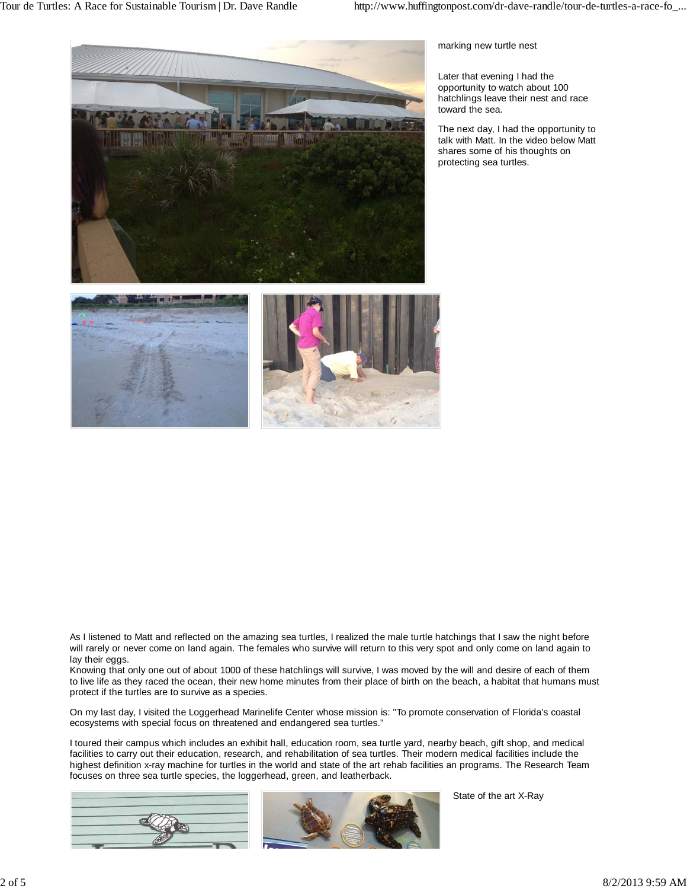marking new turtle nest

Later that evening I had the opportunity to watch about 100 hatchlings leave their nest and race toward the sea.

The next day, I had the opportunity to talk with Matt. In the video below Matt shares some of his thoughts on protecting sea turtles.

As I listened to Matt and reflected on the amazing sea turtles, I realized the male turtle hatchings that I saw the night before will rarely or never come on land again. The females who survive will return to this very spot and only come on land again to lay their eggs.

Knowing that only one out of about 1000 of these hatchlings will survive, I was moved by the will and desire of each of them to live life as they raced the ocean, their new home minutes from their place of birth on the beach, a habitat that humans must protect if the turtles are to survive as a species.

On my last day, I visited the Loggerhead Marinelife Center whose mission is: "To promote conservation of Florida's coastal ecosystems with special focus on threatened and endangered sea turtles."

I toured their campus which includes an exhibit hall, education room, sea turtle yard, nearby beach, gift shop, and medical facilities to carry out their education, research, and rehabilitation of sea turtles. Their modern medical facilities include the highest definition x-ray machine for turtles in the world and state of the art rehab facilities an programs. The Research Team focuses on three sea turtle species, the loggerhead, green, and leatherback.





State of the art X-Ray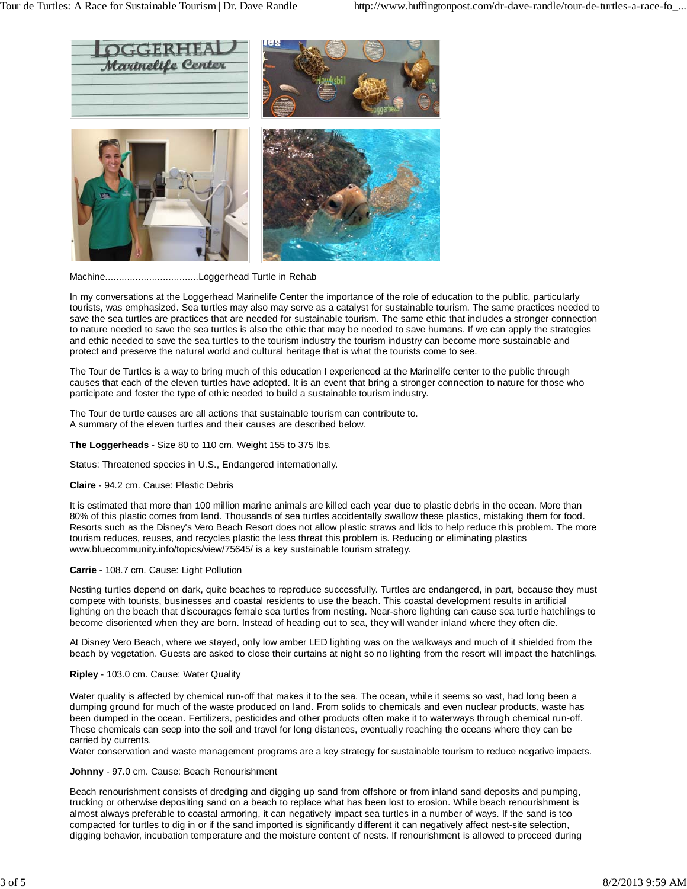

# Machine..................................Loggerhead Turtle in Rehab

In my conversations at the Loggerhead Marinelife Center the importance of the role of education to the public, particularly tourists, was emphasized. Sea turtles may also may serve as a catalyst for sustainable tourism. The same practices needed to save the sea turtles are practices that are needed for sustainable tourism. The same ethic that includes a stronger connection to nature needed to save the sea turtles is also the ethic that may be needed to save humans. If we can apply the strategies and ethic needed to save the sea turtles to the tourism industry the tourism industry can become more sustainable and protect and preserve the natural world and cultural heritage that is what the tourists come to see.

The Tour de Turtles is a way to bring much of this education I experienced at the Marinelife center to the public through causes that each of the eleven turtles have adopted. It is an event that bring a stronger connection to nature for those who participate and foster the type of ethic needed to build a sustainable tourism industry.

The Tour de turtle causes are all actions that sustainable tourism can contribute to. A summary of the eleven turtles and their causes are described below.

### **The Loggerheads** - Size 80 to 110 cm, Weight 155 to 375 lbs.

Status: Threatened species in U.S., Endangered internationally.

# **Claire** - 94.2 cm. Cause: Plastic Debris

It is estimated that more than 100 million marine animals are killed each year due to plastic debris in the ocean. More than 80% of this plastic comes from land. Thousands of sea turtles accidentally swallow these plastics, mistaking them for food. Resorts such as the Disney's Vero Beach Resort does not allow plastic straws and lids to help reduce this problem. The more tourism reduces, reuses, and recycles plastic the less threat this problem is. Reducing or eliminating plastics www.bluecommunity.info/topics/view/75645/ is a key sustainable tourism strategy.

# **Carrie** - 108.7 cm. Cause: Light Pollution

Nesting turtles depend on dark, quite beaches to reproduce successfully. Turtles are endangered, in part, because they must compete with tourists, businesses and coastal residents to use the beach. This coastal development results in artificial lighting on the beach that discourages female sea turtles from nesting. Near-shore lighting can cause sea turtle hatchlings to become disoriented when they are born. Instead of heading out to sea, they will wander inland where they often die.

At Disney Vero Beach, where we stayed, only low amber LED lighting was on the walkways and much of it shielded from the beach by vegetation. Guests are asked to close their curtains at night so no lighting from the resort will impact the hatchlings.

# **Ripley** - 103.0 cm. Cause: Water Quality

Water quality is affected by chemical run-off that makes it to the sea. The ocean, while it seems so vast, had long been a dumping ground for much of the waste produced on land. From solids to chemicals and even nuclear products, waste has been dumped in the ocean. Fertilizers, pesticides and other products often make it to waterways through chemical run-off. These chemicals can seep into the soil and travel for long distances, eventually reaching the oceans where they can be carried by currents.

Water conservation and waste management programs are a key strategy for sustainable tourism to reduce negative impacts.

#### **Johnny** - 97.0 cm. Cause: Beach Renourishment

Beach renourishment consists of dredging and digging up sand from offshore or from inland sand deposits and pumping, trucking or otherwise depositing sand on a beach to replace what has been lost to erosion. While beach renourishment is almost always preferable to coastal armoring, it can negatively impact sea turtles in a number of ways. If the sand is too compacted for turtles to dig in or if the sand imported is significantly different it can negatively affect nest-site selection, digging behavior, incubation temperature and the moisture content of nests. If renourishment is allowed to proceed during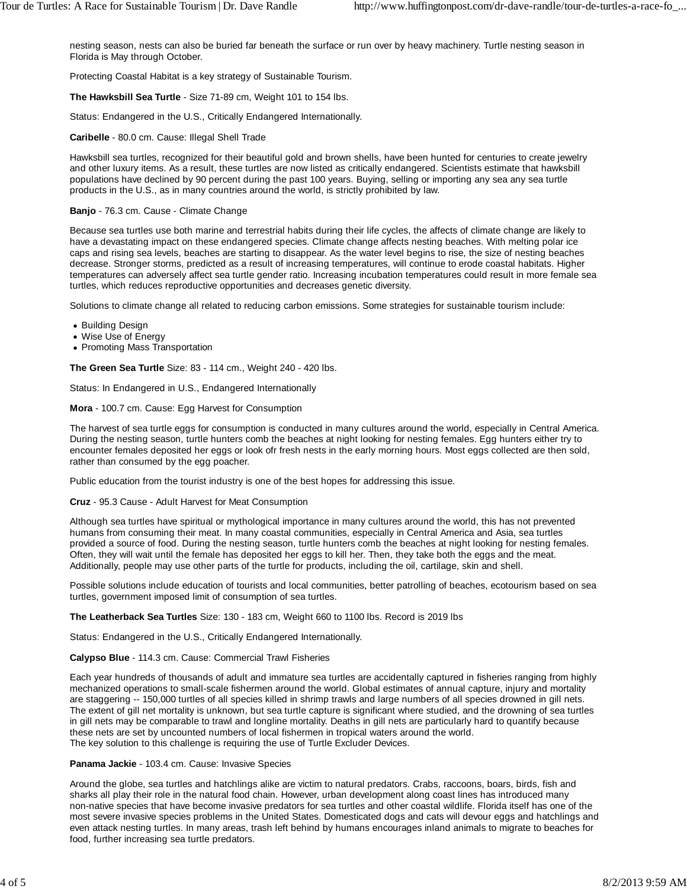nesting season, nests can also be buried far beneath the surface or run over by heavy machinery. Turtle nesting season in Florida is May through October.

Protecting Coastal Habitat is a key strategy of Sustainable Tourism.

**The Hawksbill Sea Turtle** - Size 71-89 cm, Weight 101 to 154 lbs.

Status: Endangered in the U.S., Critically Endangered Internationally.

**Caribelle** - 80.0 cm. Cause: Illegal Shell Trade

Hawksbill sea turtles, recognized for their beautiful gold and brown shells, have been hunted for centuries to create jewelry and other luxury items. As a result, these turtles are now listed as critically endangered. Scientists estimate that hawksbill populations have declined by 90 percent during the past 100 years. Buying, selling or importing any sea any sea turtle products in the U.S., as in many countries around the world, is strictly prohibited by law.

#### **Banjo** - 76.3 cm. Cause - Climate Change

Because sea turtles use both marine and terrestrial habits during their life cycles, the affects of climate change are likely to have a devastating impact on these endangered species. Climate change affects nesting beaches. With melting polar ice caps and rising sea levels, beaches are starting to disappear. As the water level begins to rise, the size of nesting beaches decrease. Stronger storms, predicted as a result of increasing temperatures, will continue to erode coastal habitats. Higher temperatures can adversely affect sea turtle gender ratio. Increasing incubation temperatures could result in more female sea turtles, which reduces reproductive opportunities and decreases genetic diversity.

Solutions to climate change all related to reducing carbon emissions. Some strategies for sustainable tourism include:

- Building Design
- Wise Use of Energy
- Promoting Mass Transportation

**The Green Sea Turtle** Size: 83 - 114 cm., Weight 240 - 420 lbs.

Status: In Endangered in U.S., Endangered Internationally

#### **Mora** - 100.7 cm. Cause: Egg Harvest for Consumption

The harvest of sea turtle eggs for consumption is conducted in many cultures around the world, especially in Central America. During the nesting season, turtle hunters comb the beaches at night looking for nesting females. Egg hunters either try to encounter females deposited her eggs or look ofr fresh nests in the early morning hours. Most eggs collected are then sold, rather than consumed by the egg poacher.

Public education from the tourist industry is one of the best hopes for addressing this issue.

**Cruz** - 95.3 Cause - Adult Harvest for Meat Consumption

Although sea turtles have spiritual or mythological importance in many cultures around the world, this has not prevented humans from consuming their meat. In many coastal communities, especially in Central America and Asia, sea turtles provided a source of food. During the nesting season, turtle hunters comb the beaches at night looking for nesting females. Often, they will wait until the female has deposited her eggs to kill her. Then, they take both the eggs and the meat. Additionally, people may use other parts of the turtle for products, including the oil, cartilage, skin and shell.

Possible solutions include education of tourists and local communities, better patrolling of beaches, ecotourism based on sea turtles, government imposed limit of consumption of sea turtles.

#### **The Leatherback Sea Turtles** Size: 130 - 183 cm, Weight 660 to 1100 lbs. Record is 2019 lbs

Status: Endangered in the U.S., Critically Endangered Internationally.

#### **Calypso Blue** - 114.3 cm. Cause: Commercial Trawl Fisheries

Each year hundreds of thousands of adult and immature sea turtles are accidentally captured in fisheries ranging from highly mechanized operations to small-scale fishermen around the world. Global estimates of annual capture, injury and mortality are staggering -- 150,000 turtles of all species killed in shrimp trawls and large numbers of all species drowned in gill nets. The extent of gill net mortality is unknown, but sea turtle capture is significant where studied, and the drowning of sea turtles in gill nets may be comparable to trawl and longline mortality. Deaths in gill nets are particularly hard to quantify because these nets are set by uncounted numbers of local fishermen in tropical waters around the world. The key solution to this challenge is requiring the use of Turtle Excluder Devices.

# **Panama Jackie** - 103.4 cm. Cause: Invasive Species

Around the globe, sea turtles and hatchlings alike are victim to natural predators. Crabs, raccoons, boars, birds, fish and sharks all play their role in the natural food chain. However, urban development along coast lines has introduced many non-native species that have become invasive predators for sea turtles and other coastal wildlife. Florida itself has one of the most severe invasive species problems in the United States. Domesticated dogs and cats will devour eggs and hatchlings and even attack nesting turtles. In many areas, trash left behind by humans encourages inland animals to migrate to beaches for food, further increasing sea turtle predators.